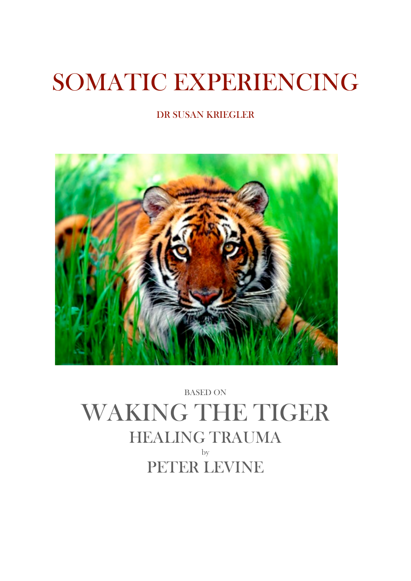# SOMATIC EXPERIENCING

DR SUSAN KRIEGLER



# BASED ON WAKING THE TIGER HEALING TRAUMA by PETER LEVINE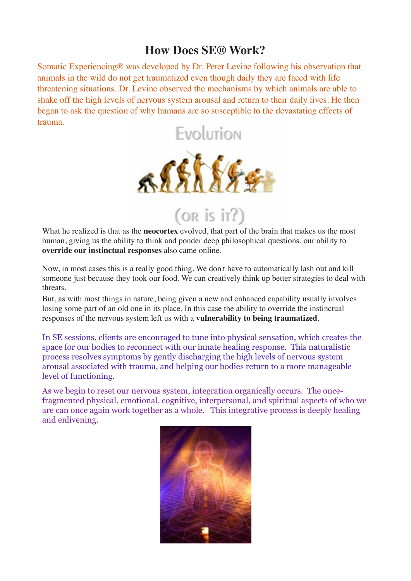# **How Does SE® Work?**

Somatic Experiencing® was developed by Dr. Peter Levine following his observation that animals in the wild do not get traumatized even though daily they are faced with life threatening situations. Dr. Levine observed the mechanisms by which animals are able to shake off the high levels of nervous system arousal and return to their daily lives. He then began to ask the question of why humans are so susceptible to the devastating effects of trauma.



 $(OR is if?)$ 

What he realized is that as the **neocortex** evolved, that part of the brain that makes us the most human, giving us the ability to think and ponder deep philosophical questions, our ability to **override our instinctual responses** also came online.

Now, in most cases this is a really good thing. We don't have to automatically lash out and kill someone just because they took our food. We can creatively think up better strategies to deal with threats.

But, as with most things in nature, being given a new and enhanced capability usually involves losing some part of an old one in its place. In this case the ability to override the instinctual responses of the nervous system left us with a **vulnerability to being traumatized**.

In SE sessions, clients are encouraged to tune into physical sensation, which creates the space for our bodies to reconnect with our innate healing response. This naturalistic process resolves symptoms by gently discharging the high levels of nervous system arousal associated with trauma, and helping our bodies return to a more manageable level of functioning.

As we begin to reset our nervous system, integration organically occurs. The oncefragmented physical, emotional, cognitive, interpersonal, and spiritual aspects of who we are can once again work together as a whole. This integrative process is deeply healing and enlivening.

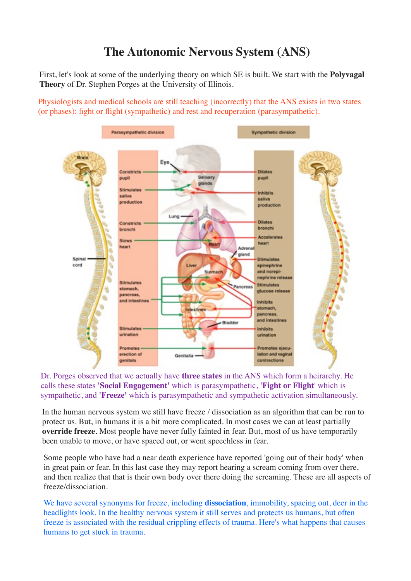# **The Autonomic Nervous System (ANS)**

First, let's look at some of the underlying theory on which SE is built. We start with the **Polyvagal Theory** of Dr. Stephen Porges at the University of Illinois.

Physiologists and medical schools are still teaching (incorrectly) that the ANS exists in two states (or phases): fight or flight (sympathetic) and rest and recuperation (parasympathetic).



Dr. Porges observed that we actually have **three states** in the ANS which form a heirarchy. He calls these states **'Social Engagement'** which is parasympathetic, **'Fight or Flight**' which is sympathetic, and **'Freeze'** which is parasympathetic and sympathetic activation simultaneously.

In the human nervous system we still have freeze / dissociation as an algorithm that can be run to protect us. But, in humans it is a bit more complicated. In most cases we can at least partially **override freeze**. Most people have never fully fainted in fear. But, most of us have temporarily been unable to move, or have spaced out, or went speechless in fear.

Some people who have had a near death experience have reported 'going out of their body' when in great pain or fear. In this last case they may report hearing a scream coming from over there, and then realize that that is their own body over there doing the screaming. These are all aspects of freeze/dissociation.

We have several synonyms for freeze, including **dissociation**, immobility, spacing out, deer in the headlights look. In the healthy nervous system it still serves and protects us humans, but often freeze is associated with the residual crippling effects of trauma. Here's what happens that causes humans to get stuck in trauma.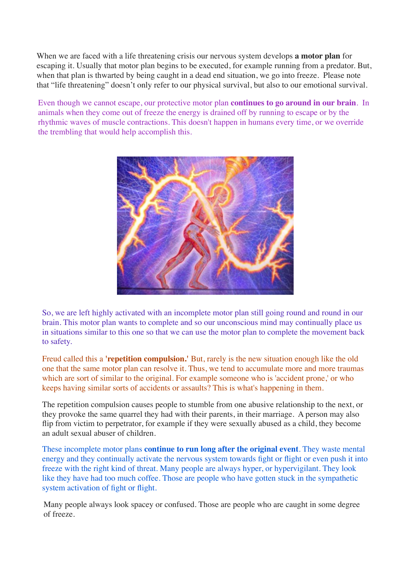When we are faced with a life threatening crisis our nervous system develops **a motor plan** for escaping it. Usually that motor plan begins to be executed, for example running from a predator. But, when that plan is thwarted by being caught in a dead end situation, we go into freeze. Please note that "life threatening" doesn't only refer to our physical survival, but also to our emotional survival.

Even though we cannot escape, our protective motor plan **continues to go around in our brain**. In animals when they come out of freeze the energy is drained off by running to escape or by the rhythmic waves of muscle contractions. This doesn't happen in humans every time, or we override the trembling that would help accomplish this.



So, we are left highly activated with an incomplete motor plan still going round and round in our brain. This motor plan wants to complete and so our unconscious mind may continually place us in situations similar to this one so that we can use the motor plan to complete the movement back to safety.

Freud called this a **'repetition compulsion.'** But, rarely is the new situation enough like the old one that the same motor plan can resolve it. Thus, we tend to accumulate more and more traumas which are sort of similar to the original. For example someone who is 'accident prone,' or who keeps having similar sorts of accidents or assaults? This is what's happening in them.

The repetition compulsion causes people to stumble from one abusive relationship to the next, or they provoke the same quarrel they had with their parents, in their marriage. A person may also flip from victim to perpetrator, for example if they were sexually abused as a child, they become an adult sexual abuser of children.

These incomplete motor plans **continue to run long after the original event**. They waste mental energy and they continually activate the nervous system towards fight or flight or even push it into freeze with the right kind of threat. Many people are always hyper, or hypervigilant. They look like they have had too much coffee. Those are people who have gotten stuck in the sympathetic system activation of fight or flight.

Many people always look spacey or confused. Those are people who are caught in some degree of freeze.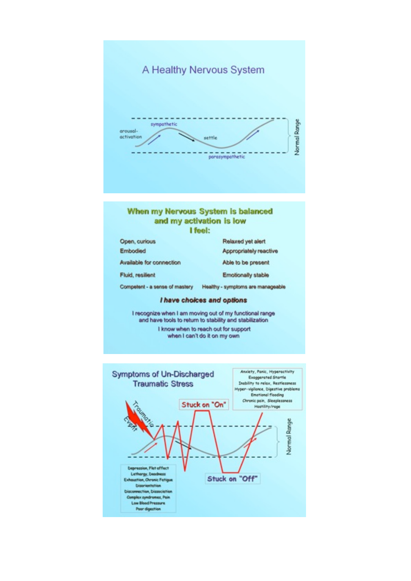# A Healthy Nervous System



# When my Nervous System is balanced and my activation is low

I feel:

Open, curious Embodied Available for connection

Fluid, resilient

Able to be present Emotionally stable

Relaxed yet alert

Appropriately reactive

Competent - a sense of mastery Healthy - symptoms are manageable

#### I have choices and options

I recognize when I am moving out of my functional range and have tools to return to stability and stabilization

> I know when to reach out for support when I can't do it on my own

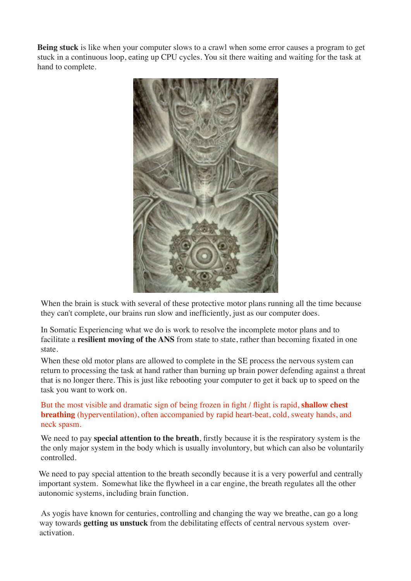**Being stuck** is like when your computer slows to a crawl when some error causes a program to get stuck in a continuous loop, eating up CPU cycles. You sit there waiting and waiting for the task at hand to complete.



When the brain is stuck with several of these protective motor plans running all the time because they can't complete, our brains run slow and inefficiently, just as our computer does.

In Somatic Experiencing what we do is work to resolve the incomplete motor plans and to facilitate a **resilient moving of the ANS** from state to state, rather than becoming fixated in one state.

When these old motor plans are allowed to complete in the SE process the nervous system can return to processing the task at hand rather than burning up brain power defending against a threat that is no longer there. This is just like rebooting your computer to get it back up to speed on the task you want to work on.

But the most visible and dramatic sign of being frozen in fight / flight is rapid, **shallow chest breathing** (hyperventilation), often accompanied by rapid heart-beat, cold, sweaty hands, and neck spasm.

We need to pay **special attention to the breath**, firstly because it is the respiratory system is the the only major system in the body which is usually involuntory, but which can also be voluntarily controlled.

We need to pay special attention to the breath secondly because it is a very powerful and centrally important system. Somewhat like the flywheel in a car engine, the breath regulates all the other autonomic systems, including brain function.

 As yogis have known for centuries, controlling and changing the way we breathe, can go a long way towards **getting us unstuck** from the debilitating effects of central nervous system overactivation.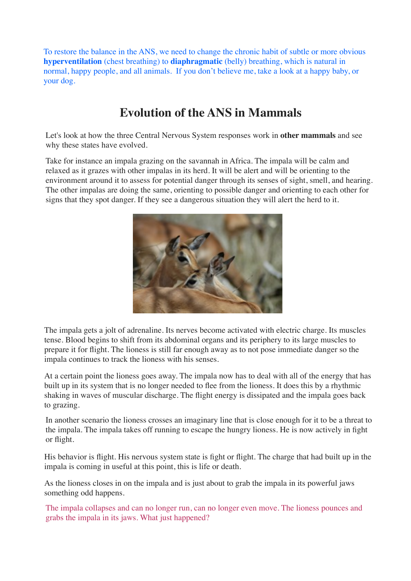To restore the balance in the ANS, we need to change the chronic habit of subtle or more obvious **hyperventilation** (chest breathing) to **diaphragmatic** (belly) breathing, which is natural in normal, happy people, and all animals. If you don't believe me, take a look at a happy baby, or your dog.

# **Evolution of the ANS in Mammals**

Let's look at how the three Central Nervous System responses work in **other mammals** and see why these states have evolved.

Take for instance an impala grazing on the savannah in Africa. The impala will be calm and relaxed as it grazes with other impalas in its herd. It will be alert and will be orienting to the environment around it to assess for potential danger through its senses of sight, smell, and hearing. The other impalas are doing the same, orienting to possible danger and orienting to each other for signs that they spot danger. If they see a dangerous situation they will alert the herd to it.



The impala gets a jolt of adrenaline. Its nerves become activated with electric charge. Its muscles tense. Blood begins to shift from its abdominal organs and its periphery to its large muscles to prepare it for flight. The lioness is still far enough away as to not pose immediate danger so the impala continues to track the lioness with his senses.

At a certain point the lioness goes away. The impala now has to deal with all of the energy that has built up in its system that is no longer needed to flee from the lioness. It does this by a rhythmic shaking in waves of muscular discharge. The flight energy is dissipated and the impala goes back to grazing.

In another scenario the lioness crosses an imaginary line that is close enough for it to be a threat to the impala. The impala takes off running to escape the hungry lioness. He is now actively in fight or flight.

His behavior is flight. His nervous system state is fight or flight. The charge that had built up in the impala is coming in useful at this point, this is life or death.

As the lioness closes in on the impala and is just about to grab the impala in its powerful jaws something odd happens.

The impala collapses and can no longer run, can no longer even move. The lioness pounces and grabs the impala in its jaws. What just happened?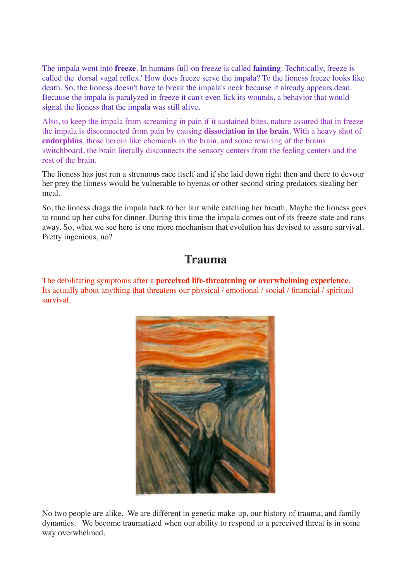The impala went into **freeze**. In humans full-on freeze is called **fainting**. Technically, freeze is called the 'dorsal vagal reflex.' How does freeze serve the impala? To the lioness freeze looks like death. So, the lioness doesn't have to break the impala's neck because it already appears dead. Because the impala is paralyzed in freeze it can't even lick its wounds, a behavior that would signal the lioness that the impala was still alive.

Also, to keep the impala from screaming in pain if it sustained bites, nature assured that in freeze the impala is disconnected from pain by causing **dissociation in the brain**. With a heavy shot of **endorphins**, those heroin like chemicals in the brain, and some rewiring of the brains switchboard, the brain literally disconnects the sensory centers from the feeling centers and the rest of the brain.

The lioness has just run a strenuous race itself and if she laid down right then and there to devour her prey the lioness would be vulnerable to hyenas or other second string predators stealing her meal.

So, the lioness drags the impala back to her lair while catching her breath. Maybe the lioness goes to round up her cubs for dinner. During this time the impala comes out of its freeze state and runs away. So, what we see here is one more mechanism that evolution has devised to assure survival. Pretty ingenious, no?

# **Trauma**

The debilitating symptoms after a **perceived life-threatening or overwhelming experience**. Its actually about anything that threatens our physical / emotional / social / financial / spiritual survival.



No two people are alike. We are different in genetic make-up, our history of trauma, and family dynamics. We become traumatized when our ability to respond to a perceived threat is in some way overwhelmed.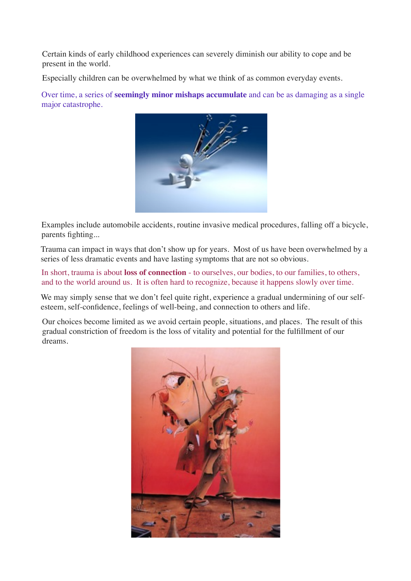Certain kinds of early childhood experiences can severely diminish our ability to cope and be present in the world.

Especially children can be overwhelmed by what we think of as common everyday events.

Over time, a series of **seemingly minor mishaps accumulate** and can be as damaging as a single major catastrophe.



Examples include automobile accidents, routine invasive medical procedures, falling off a bicycle, parents fighting...

Trauma can impact in ways that don't show up for years. Most of us have been overwhelmed by a series of less dramatic events and have lasting symptoms that are not so obvious.

In short, trauma is about **loss of connection** - to ourselves, our bodies, to our families, to others, and to the world around us. It is often hard to recognize, because it happens slowly over time.

We may simply sense that we don't feel quite right, experience a gradual undermining of our selfesteem, self-confidence, feelings of well-being, and connection to others and life.

Our choices become limited as we avoid certain people, situations, and places. The result of this gradual constriction of freedom is the loss of vitality and potential for the fulfillment of our dreams.

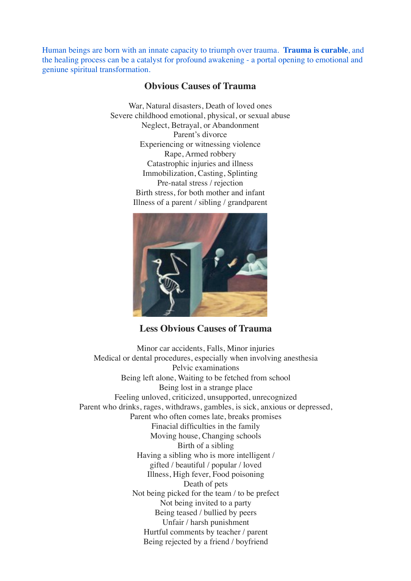Human beings are born with an innate capacity to triumph over trauma. **Trauma is curable**, and the healing process can be a catalyst for profound awakening - a portal opening to emotional and geniune spiritual transformation.

#### **Obvious Causes of Trauma**

War, Natural disasters, Death of loved ones Severe childhood emotional, physical, or sexual abuse Neglect, Betrayal, or Abandonment Parent's divorce Experiencing or witnessing violence Rape, Armed robbery Catastrophic injuries and illness Immobilization, Casting, Splinting Pre-natal stress / rejection Birth stress, for both mother and infant Illness of a parent / sibling / grandparent



#### **Less Obvious Causes of Trauma**

Minor car accidents, Falls, Minor injuries Medical or dental procedures, especially when involving anesthesia Pelvic examinations Being left alone, Waiting to be fetched from school Being lost in a strange place Feeling unloved, criticized, unsupported, unrecognized Parent who drinks, rages, withdraws, gambles, is sick, anxious or depressed, Parent who often comes late, breaks promises Finacial difficulties in the family Moving house, Changing schools Birth of a sibling Having a sibling who is more intelligent / gifted / beautiful / popular / loved Illness, High fever, Food poisoning Death of pets Not being picked for the team / to be prefect Not being invited to a party Being teased / bullied by peers Unfair / harsh punishment Hurtful comments by teacher / parent Being rejected by a friend / boyfriend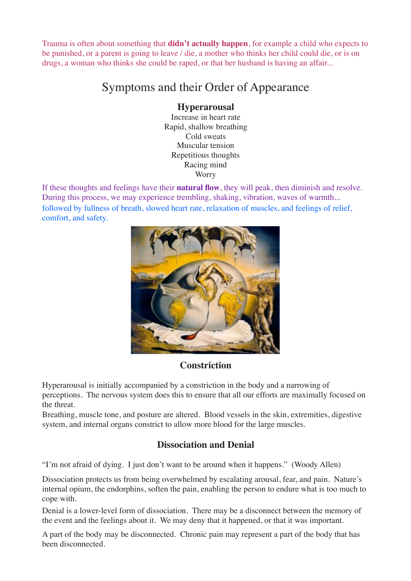Trauma is often about something that **didn't actually happen**, for example a child who expects to be punished, or a parent is going to leave / die, a mother who thinks her child could die, or is on drugs, a woman who thinks she could be raped, or that her husband is having an affair...

# Symptoms and their Order of Appearance

#### **Hyperarousal**

Increase in heart rate Rapid, shallow breathing Cold sweats Muscular tension Repetitious thoughts Racing mind **Worry** 

If these thoughts and feelings have their **natural flow**, they will peak, then diminish and resolve. During this process, we may experience trembling, shaking, vibration, waves of warmth... followed by fullness of breath, slowed heart rate, relaxation of muscles, and feelings of relief, comfort, and safety.



#### **Constriction**

Hyperarousal is initially accompanied by a constriction in the body and a narrowing of perceptions. The nervous system does this to ensure that all our efforts are maximally focused on the threat.

Breathing, muscle tone, and posture are altered. Blood vessels in the skin, extremities, digestive system, and internal organs constrict to allow more blood for the large muscles.

## **Dissociation and Denial**

"I'm not afraid of dying. I just don't want to be around when it happens." (Woody Allen)

Dissociation protects us from being overwhelmed by escalating arousal, fear, and pain. Nature's internal opium, the endorphins, soften the pain, enabling the person to endure what is too much to cope with.

Denial is a lower-level form of dissociation. There may be a disconnect between the memory of the event and the feelings about it. We may deny that it happened, or that it was important.

A part of the body may be disconnected. Chronic pain may represent a part of the body that has been disconnected.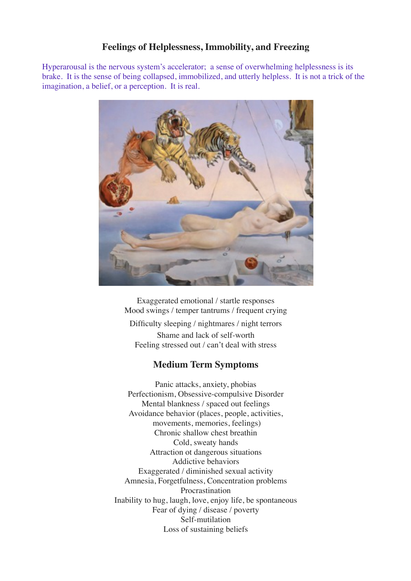#### **Feelings of Helplessness, Immobility, and Freezing**

Hyperarousal is the nervous system's accelerator; a sense of overwhelming helplessness is its brake. It is the sense of being collapsed, immobilized, and utterly helpless. It is not a trick of the imagination, a belief, or a perception. It is real.



Exaggerated emotional / startle responses Mood swings / temper tantrums / frequent crying Difficulty sleeping / nightmares / night terrors Shame and lack of self-worth Feeling stressed out / can't deal with stress

#### **Medium Term Symptoms**

Panic attacks, anxiety, phobias Perfectionism, Obsessive-compulsive Disorder Mental blankness / spaced out feelings Avoidance behavior (places, people, activities, movements, memories, feelings) Chronic shallow chest breathin Cold, sweaty hands Attraction ot dangerous situations Addictive behaviors Exaggerated / diminished sexual activity Amnesia, Forgetfulness, Concentration problems Procrastination Inability to hug, laugh, love, enjoy life, be spontaneous Fear of dying / disease / poverty Self-mutilation Loss of sustaining beliefs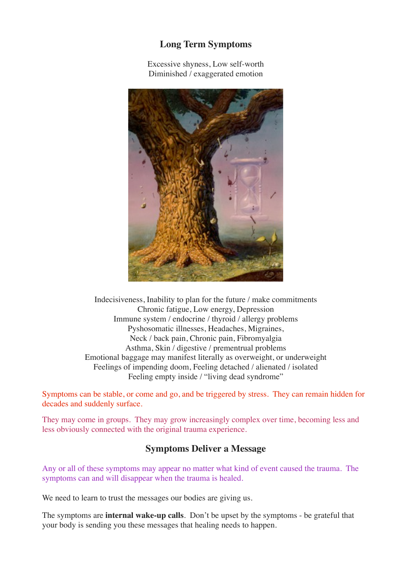### **Long Term Symptoms**

Excessive shyness, Low self-worth Diminished / exaggerated emotion



Indecisiveness, Inability to plan for the future / make commitments Chronic fatigue, Low energy, Depression Immune system / endocrine / thyroid / allergy problems Pyshosomatic illnesses, Headaches, Migraines, Neck / back pain, Chronic pain, Fibromyalgia Asthma, Skin / digestive / prementrual problems Emotional baggage may manifest literally as overweight, or underweight Feelings of impending doom, Feeling detached / alienated / isolated Feeling empty inside / "living dead syndrome"

Symptoms can be stable, or come and go, and be triggered by stress. They can remain hidden for decades and suddenly surface.

They may come in groups. They may grow increasingly complex over time, becoming less and less obviously connected with the original trauma experience.

#### **Symptoms Deliver a Message**

Any or all of these symptoms may appear no matter what kind of event caused the trauma. The symptoms can and will disappear when the trauma is healed.

We need to learn to trust the messages our bodies are giving us.

The symptoms are **internal wake-up calls**. Don't be upset by the symptoms - be grateful that your body is sending you these messages that healing needs to happen.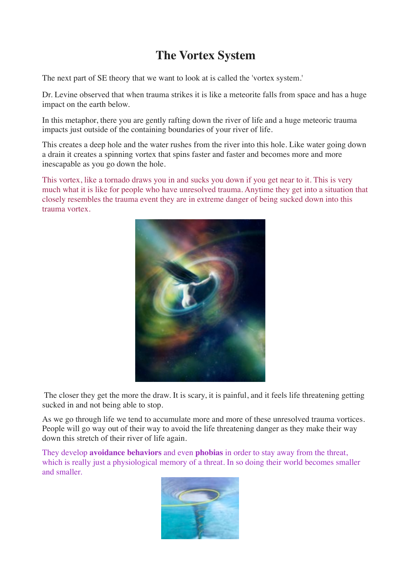# **The Vortex System**

The next part of SE theory that we want to look at is called the 'vortex system.'

Dr. Levine observed that when trauma strikes it is like a meteorite falls from space and has a huge impact on the earth below.

In this metaphor, there you are gently rafting down the river of life and a huge meteoric trauma impacts just outside of the containing boundaries of your river of life.

This creates a deep hole and the water rushes from the river into this hole. Like water going down a drain it creates a spinning vortex that spins faster and faster and becomes more and more inescapable as you go down the hole.

This vortex, like a tornado draws you in and sucks you down if you get near to it. This is very much what it is like for people who have unresolved trauma. Anytime they get into a situation that closely resembles the trauma event they are in extreme danger of being sucked down into this trauma vortex.



 The closer they get the more the draw. It is scary, it is painful, and it feels life threatening getting sucked in and not being able to stop.

As we go through life we tend to accumulate more and more of these unresolved trauma vortices. People will go way out of their way to avoid the life threatening danger as they make their way down this stretch of their river of life again.

They develop **avoidance behaviors** and even **phobias** in order to stay away from the threat, which is really just a physiological memory of a threat. In so doing their world becomes smaller and smaller.

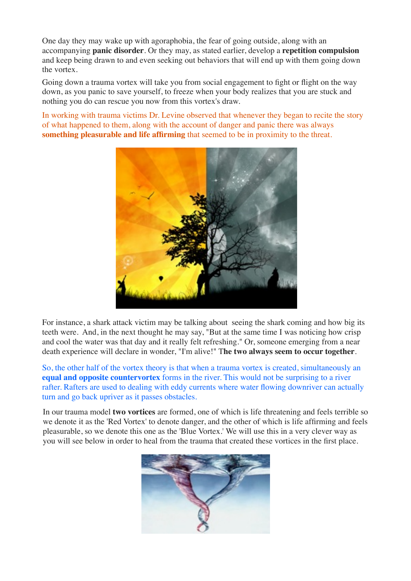One day they may wake up with agoraphobia, the fear of going outside, along with an accompanying **panic disorder**. Or they may, as stated earlier, develop a **repetition compulsion** and keep being drawn to and even seeking out behaviors that will end up with them going down the vortex.

Going down a trauma vortex will take you from social engagement to fight or flight on the way down, as you panic to save yourself, to freeze when your body realizes that you are stuck and nothing you do can rescue you now from this vortex's draw.

In working with trauma victims Dr. Levine observed that whenever they began to recite the story of what happened to them, along with the account of danger and panic there was always **something pleasurable and life affirming** that seemed to be in proximity to the threat.



For instance, a shark attack victim may be talking about seeing the shark coming and how big its teeth were. And, in the next thought he may say, "But at the same time I was noticing how crisp and cool the water was that day and it really felt refreshing." Or, someone emerging from a near death experience will declare in wonder, "I'm alive!" T**he two always seem to occur together**.

So, the other half of the vortex theory is that when a trauma vortex is created, simultaneously an **equal and opposite countervortex** forms in the river. This would not be surprising to a river rafter. Rafters are used to dealing with eddy currents where water flowing downriver can actually turn and go back upriver as it passes obstacles.

In our trauma model **two vortices** are formed, one of which is life threatening and feels terrible so we denote it as the 'Red Vortex' to denote danger, and the other of which is life affirming and feels pleasurable, so we denote this one as the 'Blue Vortex.' We will use this in a very clever way as you will see below in order to heal from the trauma that created these vortices in the first place.

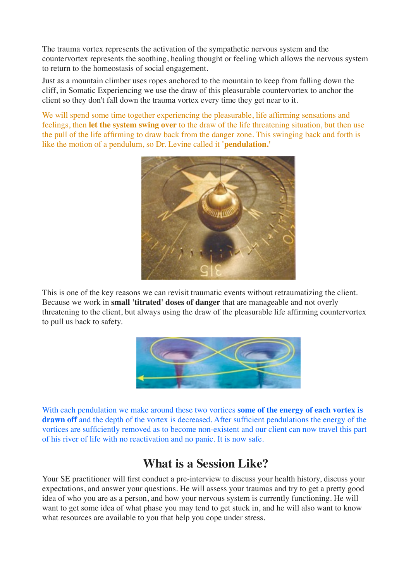The trauma vortex represents the activation of the sympathetic nervous system and the countervortex represents the soothing, healing thought or feeling which allows the nervous system to return to the homeostasis of social engagement.

Just as a mountain climber uses ropes anchored to the mountain to keep from falling down the cliff, in Somatic Experiencing we use the draw of this pleasurable countervortex to anchor the client so they don't fall down the trauma vortex every time they get near to it.

We will spend some time together experiencing the pleasurable, life affirming sensations and feelings, then **let the system swing over** to the draw of the life threatening situation, but then use the pull of the life affirming to draw back from the danger zone. This swinging back and forth is like the motion of a pendulum, so Dr. Levine called it **'pendulation.'**



This is one of the key reasons we can revisit traumatic events without retraumatizing the client. Because we work in **small 'titrated' doses of danger** that are manageable and not overly threatening to the client, but always using the draw of the pleasurable life affirming countervortex to pull us back to safety.



With each pendulation we make around these two vortices **some of the energy of each vortex is drawn off** and the depth of the vortex is decreased. After sufficient pendulations the energy of the vortices are sufficiently removed as to become non-existent and our client can now travel this part of his river of life with no reactivation and no panic. It is now safe.

# **What is a Session Like?**

Your SE practitioner will first conduct a pre-interview to discuss your health history, discuss your expectations, and answer your questions. He will assess your traumas and try to get a pretty good idea of who you are as a person, and how your nervous system is currently functioning. He will want to get some idea of what phase you may tend to get stuck in, and he will also want to know what resources are available to you that help you cope under stress.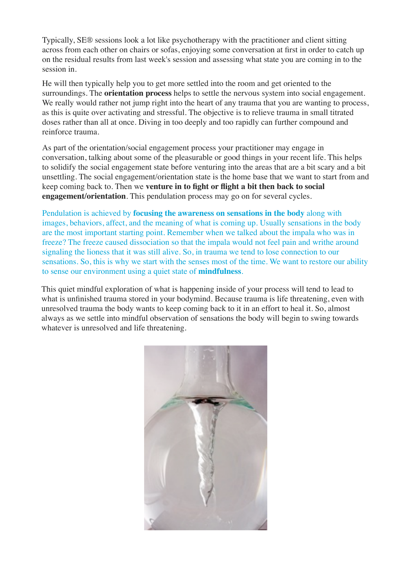Typically, SE® sessions look a lot like psychotherapy with the practitioner and client sitting across from each other on chairs or sofas, enjoying some conversation at first in order to catch up on the residual results from last week's session and assessing what state you are coming in to the session in.

He will then typically help you to get more settled into the room and get oriented to the surroundings. The **orientation process** helps to settle the nervous system into social engagement. We really would rather not jump right into the heart of any trauma that you are wanting to process, as this is quite over activating and stressful. The objective is to relieve trauma in small titrated doses rather than all at once. Diving in too deeply and too rapidly can further compound and reinforce trauma.

As part of the orientation/social engagement process your practitioner may engage in conversation, talking about some of the pleasurable or good things in your recent life. This helps to solidify the social engagement state before venturing into the areas that are a bit scary and a bit unsettling. The social engagement/orientation state is the home base that we want to start from and keep coming back to. Then we **venture in to fight or flight a bit then back to social engagement/orientation**. This pendulation process may go on for several cycles.

Pendulation is achieved by **focusing the awareness on sensations in the body** along with images, behaviors, affect, and the meaning of what is coming up. Usually sensations in the body are the most important starting point. Remember when we talked about the impala who was in freeze? The freeze caused dissociation so that the impala would not feel pain and writhe around signaling the lioness that it was still alive. So, in trauma we tend to lose connection to our sensations. So, this is why we start with the senses most of the time. We want to restore our ability to sense our environment using a quiet state of **mindfulness**.

This quiet mindful exploration of what is happening inside of your process will tend to lead to what is unfinished trauma stored in your bodymind. Because trauma is life threatening, even with unresolved trauma the body wants to keep coming back to it in an effort to heal it. So, almost always as we settle into mindful observation of sensations the body will begin to swing towards whatever is unresolved and life threatening.